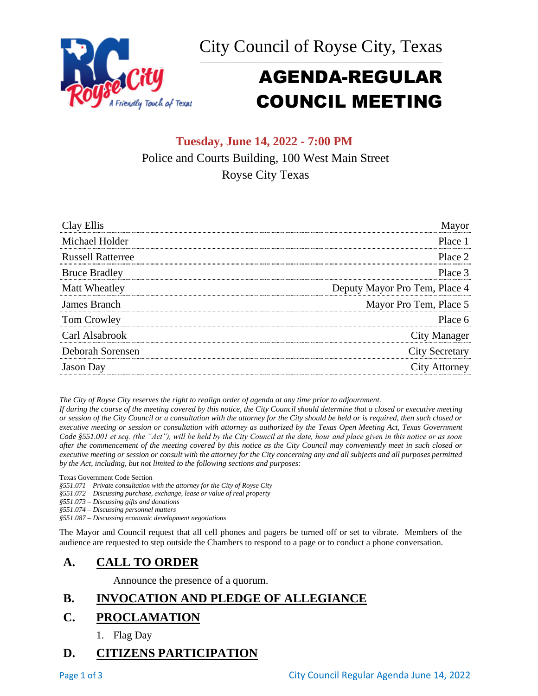



# AGENDA-REGULAR COUNCIL MEETING

# **Tuesday, June 14, 2022 - 7:00 PM** Police and Courts Building, 100 West Main Street Royse City Texas

| Clay Ellis               |                               |
|--------------------------|-------------------------------|
| Michael Holder           | Place 1                       |
| <b>Russell Ratterree</b> | Place 2                       |
| <b>Bruce Bradley</b>     | Place 3                       |
| Matt Wheatley            | Deputy Mayor Pro Tem, Place 4 |
| James Branch             | Mayor Pro Tem, Place 5        |
| Tom Crowley              | Place 6                       |
| Carl Alsabrook           | City Manager                  |
| Deborah Sorensen         | <b>City Secretary</b>         |
| <b>Jason</b> Day         | City Attorney                 |

*The City of Royse City reserves the right to realign order of agenda at any time prior to adjournment.*

*If during the course of the meeting covered by this notice, the City Council should determine that a closed or executive meeting or session of the City Council or a consultation with the attorney for the City should be held or is required, then such closed or executive meeting or session or consultation with attorney as authorized by the Texas Open Meeting Act, Texas Government Code §551.001 et seq. (the "Act"), will be held by the City Council at the date, hour and place given in this notice or as soon after the commencement of the meeting covered by this notice as the City Council may conveniently meet in such closed or executive meeting or session or consult with the attorney for the City concerning any and all subjects and all purposes permitted by the Act, including, but not limited to the following sections and purposes:*

Texas Government Code Section

- *§551.071 – Private consultation with the attorney for the City of Royse City*
- *§551.072 – Discussing purchase, exchange, lease or value of real property*
- *§551.073 – Discussing gifts and donations*
- *§551.074 – Discussing personnel matters*
- *§551.087 – Discussing economic development negotiations*

The Mayor and Council request that all cell phones and pagers be turned off or set to vibrate. Members of the audience are requested to step outside the Chambers to respond to a page or to conduct a phone conversation.

# **A. CALL TO ORDER**

Announce the presence of a quorum.

# **B. INVOCATION AND PLEDGE OF ALLEGIANCE**

### **C. PROCLAMATION**

1. Flag Day

### **D. CITIZENS PARTICIPATION**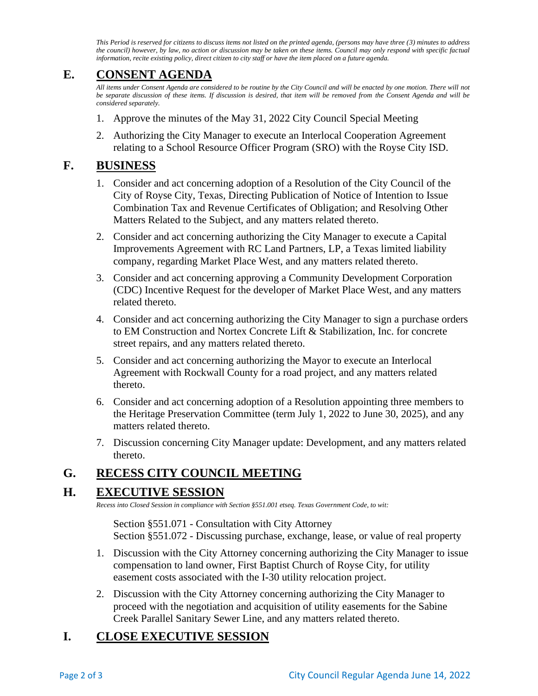*This Period is reserved for citizens to discuss items not listed on the printed agenda, (persons may have three (3) minutes to address the council) however, by law, no action or discussion may be taken on these items. Council may only respond with specific factual information, recite existing policy, direct citizen to city staff or have the item placed on a future agenda.*

## **E. CONSENT AGENDA**

*All items under Consent Agenda are considered to be routine by the City Council and will be enacted by one motion. There will not be separate discussion of these items. If discussion is desired, that item will be removed from the Consent Agenda and will be considered separately.*

- 1. Approve the minutes of the May 31, 2022 City Council Special Meeting
- 2. Authorizing the City Manager to execute an Interlocal Cooperation Agreement relating to a School Resource Officer Program (SRO) with the Royse City ISD.

### **F. BUSINESS**

- 1. Consider and act concerning adoption of a Resolution of the City Council of the City of Royse City, Texas, Directing Publication of Notice of Intention to Issue Combination Tax and Revenue Certificates of Obligation; and Resolving Other Matters Related to the Subject, and any matters related thereto.
- 2. Consider and act concerning authorizing the City Manager to execute a Capital Improvements Agreement with RC Land Partners, LP, a Texas limited liability company, regarding Market Place West, and any matters related thereto.
- 3. Consider and act concerning approving a Community Development Corporation (CDC) Incentive Request for the developer of Market Place West, and any matters related thereto.
- 4. Consider and act concerning authorizing the City Manager to sign a purchase orders to EM Construction and Nortex Concrete Lift & Stabilization, Inc. for concrete street repairs, and any matters related thereto.
- 5. Consider and act concerning authorizing the Mayor to execute an Interlocal Agreement with Rockwall County for a road project, and any matters related thereto.
- 6. Consider and act concerning adoption of a Resolution appointing three members to the Heritage Preservation Committee (term July 1, 2022 to June 30, 2025), and any matters related thereto.
- 7. Discussion concerning City Manager update: Development, and any matters related thereto.

# **G. RECESS CITY COUNCIL MEETING**

### **H. EXECUTIVE SESSION**

*Recess into Closed Session in compliance with Section §551.001 etseq. Texas Government Code, to wit:*

Section §551.071 - Consultation with City Attorney Section §551.072 - Discussing purchase, exchange, lease, or value of real property

- 1. Discussion with the City Attorney concerning authorizing the City Manager to issue compensation to land owner, First Baptist Church of Royse City, for utility easement costs associated with the I-30 utility relocation project.
- 2. Discussion with the City Attorney concerning authorizing the City Manager to proceed with the negotiation and acquisition of utility easements for the Sabine Creek Parallel Sanitary Sewer Line, and any matters related thereto.

# **I. CLOSE EXECUTIVE SESSION**